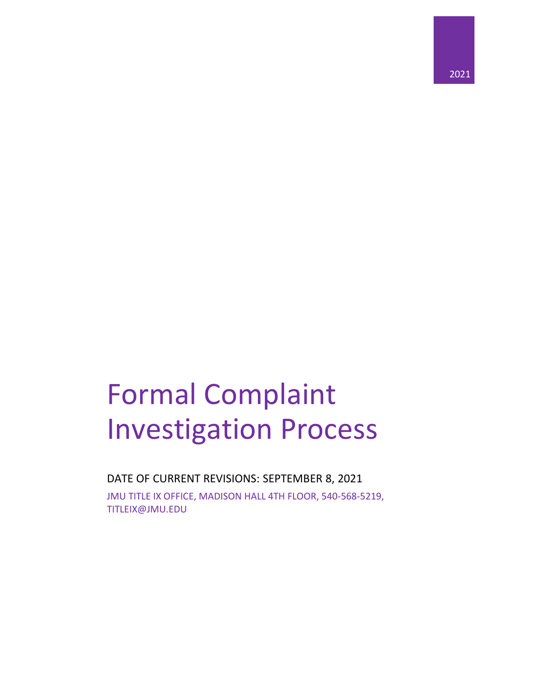

# Formal Complaint Investigation Process

DATE OF CURRENT REVISIONS: SEPTEMBER 8, 2021 JMU TITLE IX OFFICE, MADISON HALL 4TH FLOOR, 540-568-5219, TITLEIX@JMU.EDU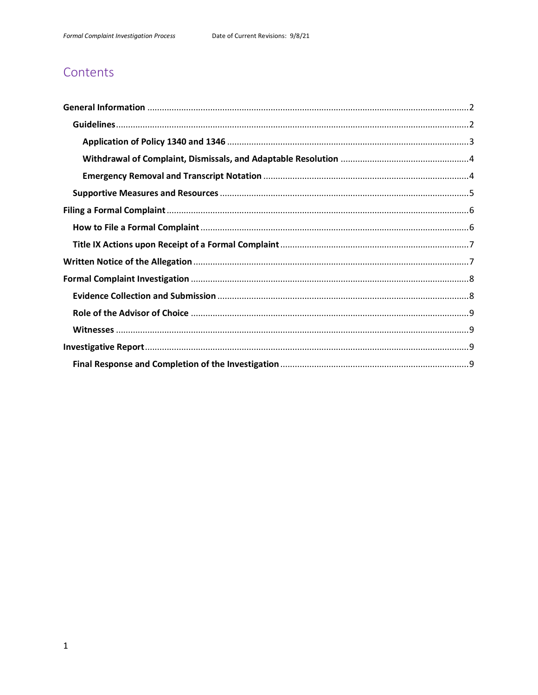# Contents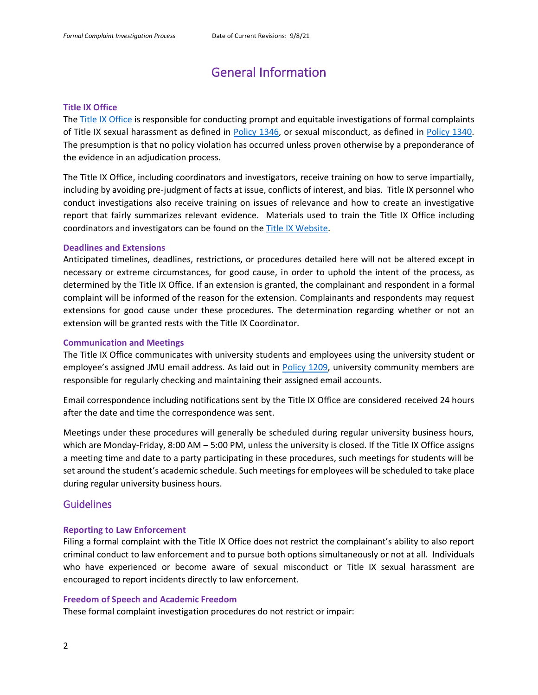# General Information

#### <span id="page-2-0"></span>**Title IX Office**

The [Title IX Office](https://www.jmu.edu/access-and-enrollment/titleIX/index.shtml) is responsible for conducting prompt and equitable investigations of formal complaints of Title IX sexual harassment as defined in [Policy 1346,](https://www.jmu.edu/JMUpolicy/policies/1346.shtml) or sexual misconduct, as defined in [Policy 1340.](https://www.jmu.edu/JMUpolicy/policies/1340.shtml) The presumption is that no policy violation has occurred unless proven otherwise by a preponderance of the evidence in an adjudication process.

The Title IX Office, including coordinators and investigators, receive training on how to serve impartially, including by avoiding pre-judgment of facts at issue, conflicts of interest, and bias. Title IX personnel who conduct investigations also receive training on issues of relevance and how to create an investigative report that fairly summarizes relevant evidence. Materials used to train the Title IX Office including coordinators and investigators can be found on the [Title IX Website.](https://www.jmu.edu/access-and-enrollment/titleIX/index.shtml)

#### **Deadlines and Extensions**

Anticipated timelines, deadlines, restrictions, or procedures detailed here will not be altered except in necessary or extreme circumstances, for good cause, in order to uphold the intent of the process, as determined by the Title IX Office. If an extension is granted, the complainant and respondent in a formal complaint will be informed of the reason for the extension. Complainants and respondents may request extensions for good cause under these procedures. The determination regarding whether or not an extension will be granted rests with the Title IX Coordinator.

#### **Communication and Meetings**

The Title IX Office communicates with university students and employees using the university student or employee's assigned JMU email address. As laid out in [Policy 1209,](https://www.jmu.edu/JMUpolicy/policies/1209.shtml) university community members are responsible for regularly checking and maintaining their assigned email accounts.

Email correspondence including notifications sent by the Title IX Office are considered received 24 hours after the date and time the correspondence was sent.

Meetings under these procedures will generally be scheduled during regular university business hours, which are Monday-Friday, 8:00 AM – 5:00 PM, unless the university is closed. If the Title IX Office assigns a meeting time and date to a party participating in these procedures, such meetings for students will be set around the student's academic schedule. Such meetings for employees will be scheduled to take place during regular university business hours.

#### <span id="page-2-1"></span>**Guidelines**

#### **Reporting to Law Enforcement**

Filing a formal complaint with the Title IX Office does not restrict the complainant's ability to also report criminal conduct to law enforcement and to pursue both options simultaneously or not at all. Individuals who have experienced or become aware of sexual misconduct or Title IX sexual harassment are encouraged to report incidents directly to law enforcement.

#### **Freedom of Speech and Academic Freedom**

These formal complaint investigation procedures do not restrict or impair: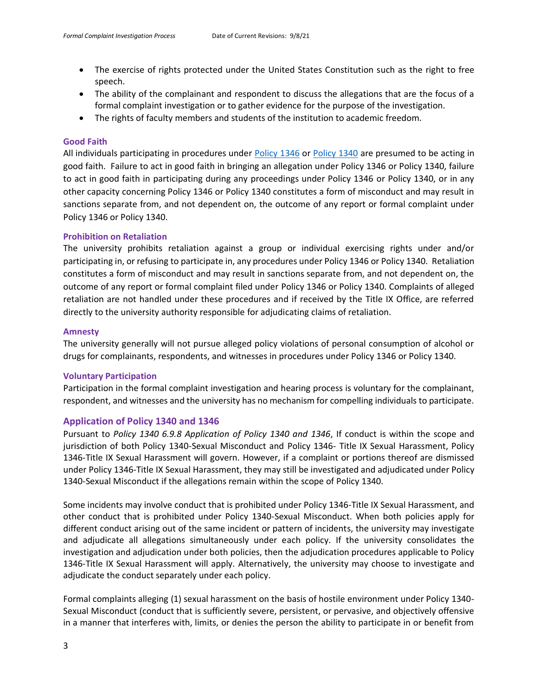- The exercise of rights protected under the United States Constitution such as the right to free speech.
- The ability of the complainant and respondent to discuss the allegations that are the focus of a formal complaint investigation or to gather evidence for the purpose of the investigation.
- The rights of faculty members and students of the institution to academic freedom.

#### **Good Faith**

All individuals participating in procedures under [Policy 1346](https://www.jmu.edu/JMUpolicy/policies/1346.shtml) or [Policy 1340](https://www.jmu.edu/JMUpolicy/policies/1340.shtml) are presumed to be acting in good faith. Failure to act in good faith in bringing an allegation under Policy 1346 or Policy 1340, failure to act in good faith in participating during any proceedings under Policy 1346 or Policy 1340, or in any other capacity concerning Policy 1346 or Policy 1340 constitutes a form of misconduct and may result in sanctions separate from, and not dependent on, the outcome of any report or formal complaint under Policy 1346 or Policy 1340.

#### **Prohibition on Retaliation**

The university prohibits retaliation against a group or individual exercising rights under and/or participating in, or refusing to participate in, any procedures under Policy 1346 or Policy 1340. Retaliation constitutes a form of misconduct and may result in sanctions separate from, and not dependent on, the outcome of any report or formal complaint filed under Policy 1346 or Policy 1340. Complaints of alleged retaliation are not handled under these procedures and if received by the Title IX Office, are referred directly to the university authority responsible for adjudicating claims of retaliation.

#### **Amnesty**

The university generally will not pursue alleged policy violations of personal consumption of alcohol or drugs for complainants, respondents, and witnesses in procedures under Policy 1346 or Policy 1340.

#### **Voluntary Participation**

Participation in the formal complaint investigation and hearing process is voluntary for the complainant, respondent, and witnesses and the university has no mechanism for compelling individuals to participate.

#### <span id="page-3-0"></span>**Application of Policy 1340 and 1346**

Pursuant to *Policy 1340 6.9.8 Application of Policy 1340 and 1346*, If conduct is within the scope and jurisdiction of both Policy 1340-Sexual Misconduct and Policy 1346- Title IX Sexual Harassment, Policy 1346-Title IX Sexual Harassment will govern. However, if a complaint or portions thereof are dismissed under Policy 1346-Title IX Sexual Harassment, they may still be investigated and adjudicated under Policy 1340-Sexual Misconduct if the allegations remain within the scope of Policy 1340.

Some incidents may involve conduct that is prohibited under Policy 1346-Title IX Sexual Harassment, and other conduct that is prohibited under Policy 1340-Sexual Misconduct. When both policies apply for different conduct arising out of the same incident or pattern of incidents, the university may investigate and adjudicate all allegations simultaneously under each policy. If the university consolidates the investigation and adjudication under both policies, then the adjudication procedures applicable to Policy 1346-Title IX Sexual Harassment will apply. Alternatively, the university may choose to investigate and adjudicate the conduct separately under each policy.

Formal complaints alleging (1) sexual harassment on the basis of hostile environment under Policy 1340- Sexual Misconduct (conduct that is sufficiently severe, persistent, or pervasive, and objectively offensive in a manner that interferes with, limits, or denies the person the ability to participate in or benefit from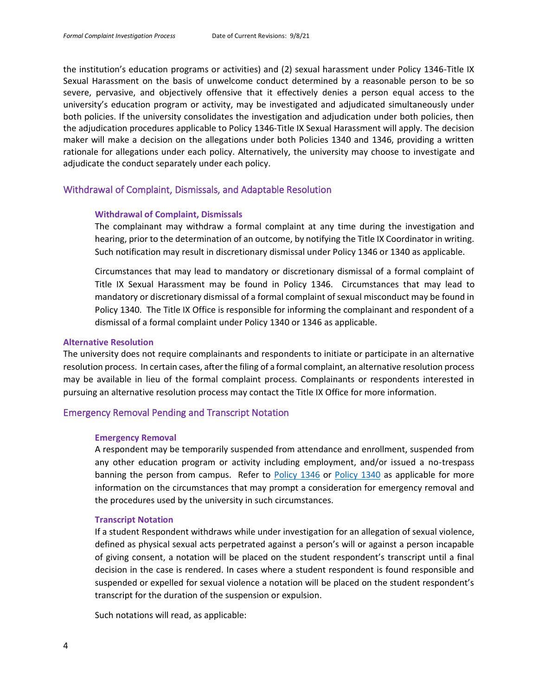the institution's education programs or activities) and (2) sexual harassment under Policy 1346-Title IX Sexual Harassment on the basis of unwelcome conduct determined by a reasonable person to be so severe, pervasive, and objectively offensive that it effectively denies a person equal access to the university's education program or activity, may be investigated and adjudicated simultaneously under both policies. If the university consolidates the investigation and adjudication under both policies, then the adjudication procedures applicable to Policy 1346-Title IX Sexual Harassment will apply. The decision maker will make a decision on the allegations under both Policies 1340 and 1346, providing a written rationale for allegations under each policy. Alternatively, the university may choose to investigate and adjudicate the conduct separately under each policy.

#### <span id="page-4-0"></span>Withdrawal of Complaint, Dismissals, and Adaptable Resolution

#### **Withdrawal of Complaint, Dismissals**

The complainant may withdraw a formal complaint at any time during the investigation and hearing, prior to the determination of an outcome, by notifying the Title IX Coordinator in writing. Such notification may result in discretionary dismissal under Policy 1346 or 1340 as applicable.

Circumstances that may lead to mandatory or discretionary dismissal of a formal complaint of Title IX Sexual Harassment may be found in Policy 1346. Circumstances that may lead to mandatory or discretionary dismissal of a formal complaint of sexual misconduct may be found in Policy 1340. The Title IX Office is responsible for informing the complainant and respondent of a dismissal of a formal complaint under Policy 1340 or 1346 as applicable.

#### **Alternative Resolution**

The university does not require complainants and respondents to initiate or participate in an alternative resolution process. In certain cases, after the filing of a formal complaint, an alternative resolution process may be available in lieu of the formal complaint process. Complainants or respondents interested in pursuing an alternative resolution process may contact the Title IX Office for more information.

#### <span id="page-4-1"></span>Emergency Removal Pending and Transcript Notation

#### **Emergency Removal**

A respondent may be temporarily suspended from attendance and enrollment, suspended from any other education program or activity including employment, and/or issued a no-trespass banning the person from campus. Refer to [Policy 1346](https://www.jmu.edu/JMUpolicy/policies/1346.shtml) or [Policy 1340](https://www.jmu.edu/JMUpolicy/policies/1340.shtml) as applicable for more information on the circumstances that may prompt a consideration for emergency removal and the procedures used by the university in such circumstances.

#### **Transcript Notation**

If a student Respondent withdraws while under investigation for an allegation of sexual violence, defined as physical sexual acts perpetrated against a person's will or against a person incapable of giving consent, a notation will be placed on the student respondent's transcript until a final decision in the case is rendered. In cases where a student respondent is found responsible and suspended or expelled for sexual violence a notation will be placed on the student respondent's transcript for the duration of the suspension or expulsion.

Such notations will read, as applicable: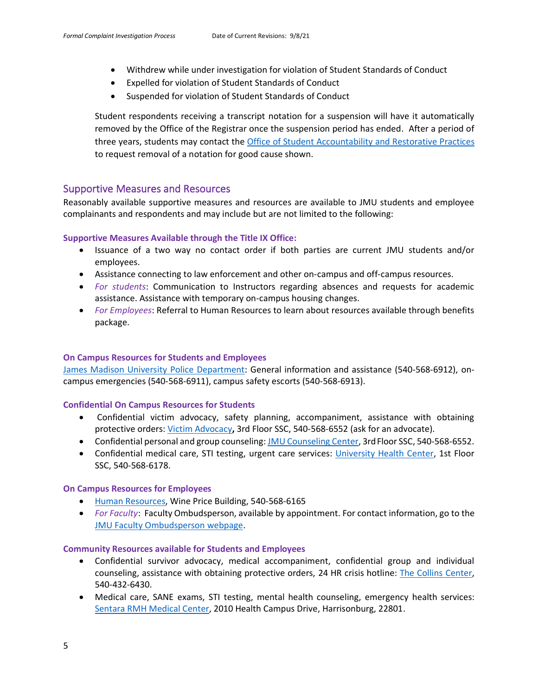- Withdrew while under investigation for violation of Student Standards of Conduct
- Expelled for violation of Student Standards of Conduct
- Suspended for violation of Student Standards of Conduct

Student respondents receiving a transcript notation for a suspension will have it automatically removed by the Office of the Registrar once the suspension period has ended. After a period of three years, students may contact the [Office of Student Accountability and Restorative Practices](https://www.jmu.edu/osarp/) to request removal of a notation for good cause shown.

#### <span id="page-5-0"></span>Supportive Measures and Resources

Reasonably available supportive measures and resources are available to JMU students and employee complainants and respondents and may include but are not limited to the following:

#### **Supportive Measures Available through the Title IX Office:**

- Issuance of a two way no contact order if both parties are current JMU students and/or employees.
- Assistance connecting to law enforcement and other on-campus and off-campus resources.
- *For students*: Communication to Instructors regarding absences and requests for academic assistance. Assistance with temporary on-campus housing changes.
- *For Employees*: Referral to Human Resources to learn about resources available through benefits package.

#### **On Campus Resources for Students and Employees**

[James Madison University Police Department:](https://www.jmu.edu/publicsafety/) General information and assistance (540-568-6912), oncampus emergencies (540-568-6911), campus safety escorts (540-568-6913).

#### **Confidential On Campus Resources for Students**

- Confidential victim advocacy, safety planning, accompaniment, assistance with obtaining protective orders: [Victim Advocacy](https://www.jmu.edu/healthcenter/survivor-advocacy/index.shtml)**,** 3rd Floor SSC, 540-568-6552 (ask for an advocate).
- Confidential personal and group counseling: [JMU Counseling Center,](https://www.jmu.edu/counselingctr/) 3rd Floor SSC, 540-568-6552.
- Confidential medical care, STI testing, urgent care services: [University Health Center,](https://www.jmu.edu/healthcenter/) 1st Floor SSC, 540-568-6178.

#### **On Campus Resources for Employees**

- [Human Resources,](https://www.jmu.edu/humanresources/index.shtml) Wine Price Building, 540-568-6165
- *For Faculty*: Faculty Ombudsperson, available by appointment. For contact information, go to the [JMU Faculty Ombudsperson webpage.](https://www.jmu.edu/academic-affairs/faculty-ombudsperson/faculty-contact.shtml)

#### **Community Resources available for Students and Employees**

- Confidential survivor advocacy, medical accompaniment, confidential group and individual counseling, assistance with obtaining protective orders, 24 HR crisis hotline: [The Collins Center,](https://www.thecollinscenter.org/) 540-432-6430.
- Medical care, SANE exams, STI testing, mental health counseling, emergency health services: [Sentara RMH Medical Center,](https://www.sentara.com/harrisonburg-virginia/hospitalslocations/locations/sentara-rmh-medical-center.aspx) 2010 Health Campus Drive, Harrisonburg, 22801.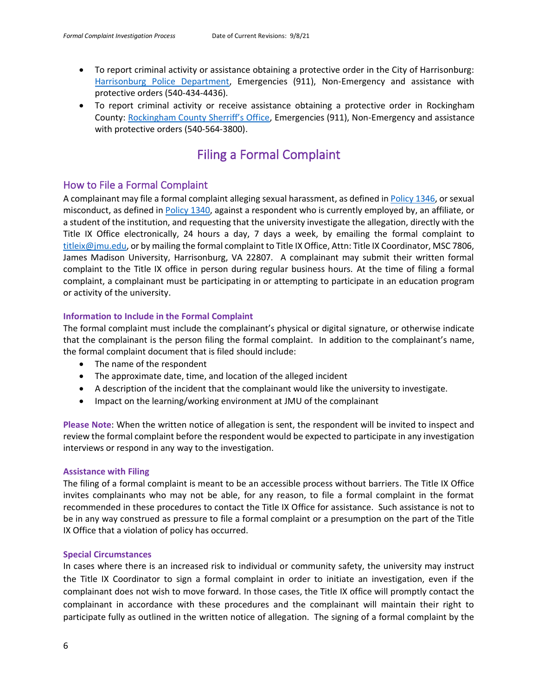- To report criminal activity or assistance obtaining a protective order in the City of Harrisonburg: [Harrisonburg Police Department,](https://www.harrisonburgva.gov/police) Emergencies (911), Non-Emergency and assistance with protective orders (540-434-4436).
- <span id="page-6-0"></span>• To report criminal activity or receive assistance obtaining a protective order in Rockingham County: [Rockingham County Sherriff's Office](http://www.rcso-va.com/), Emergencies (911), Non-Emergency and assistance with protective orders (540-564-3800).

# Filing a Formal Complaint

### <span id="page-6-1"></span>How to File a Formal Complaint

A complainant may file a formal complaint alleging sexual harassment, as defined i[n Policy 1346,](https://www.jmu.edu/JMUpolicy/policies/1346.shtml) or sexual misconduct, as defined in [Policy 1340,](https://www.jmu.edu/JMUpolicy/policies/1340.shtml) against a respondent who is currently employed by, an affiliate, or a student of the institution, and requesting that the university investigate the allegation, directly with the Title IX Office electronically, 24 hours a day, 7 days a week, by emailing the formal complaint to [titleix@jmu.edu,](mailto:titleix@jmu.edu) or by mailing the formal complaint to Title IX Office, Attn: Title IX Coordinator, MSC 7806, James Madison University, Harrisonburg, VA 22807. A complainant may submit their written formal complaint to the Title IX office in person during regular business hours. At the time of filing a formal complaint, a complainant must be participating in or attempting to participate in an education program or activity of the university.

#### **Information to Include in the Formal Complaint**

The formal complaint must include the complainant's physical or digital signature, or otherwise indicate that the complainant is the person filing the formal complaint. In addition to the complainant's name, the formal complaint document that is filed should include:

- The name of the respondent
- The approximate date, time, and location of the alleged incident
- A description of the incident that the complainant would like the university to investigate.
- Impact on the learning/working environment at JMU of the complainant

**Please Note**: When the written notice of allegation is sent, the respondent will be invited to inspect and review the formal complaint before the respondent would be expected to participate in any investigation interviews or respond in any way to the investigation.

#### **Assistance with Filing**

The filing of a formal complaint is meant to be an accessible process without barriers. The Title IX Office invites complainants who may not be able, for any reason, to file a formal complaint in the format recommended in these procedures to contact the Title IX Office for assistance. Such assistance is not to be in any way construed as pressure to file a formal complaint or a presumption on the part of the Title IX Office that a violation of policy has occurred.

#### **Special Circumstances**

In cases where there is an increased risk to individual or community safety, the university may instruct the Title IX Coordinator to sign a formal complaint in order to initiate an investigation, even if the complainant does not wish to move forward. In those cases, the Title IX office will promptly contact the complainant in accordance with these procedures and the complainant will maintain their right to participate fully as outlined in the written notice of allegation. The signing of a formal complaint by the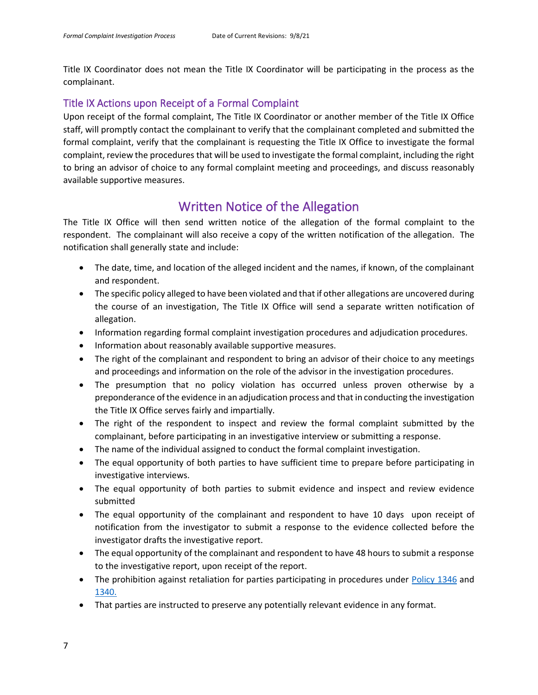Title IX Coordinator does not mean the Title IX Coordinator will be participating in the process as the complainant.

## <span id="page-7-0"></span>Title IX Actions upon Receipt of a Formal Complaint

Upon receipt of the formal complaint, The Title IX Coordinator or another member of the Title IX Office staff, will promptly contact the complainant to verify that the complainant completed and submitted the formal complaint, verify that the complainant is requesting the Title IX Office to investigate the formal complaint, review the procedures that will be used to investigate the formal complaint, including the right to bring an advisor of choice to any formal complaint meeting and proceedings, and discuss reasonably available supportive measures.

## Written Notice of the Allegation

<span id="page-7-1"></span>The Title IX Office will then send written notice of the allegation of the formal complaint to the respondent. The complainant will also receive a copy of the written notification of the allegation. The notification shall generally state and include:

- The date, time, and location of the alleged incident and the names, if known, of the complainant and respondent.
- The specific policy alleged to have been violated and that if other allegations are uncovered during the course of an investigation, The Title IX Office will send a separate written notification of allegation.
- Information regarding formal complaint investigation procedures and adjudication procedures.
- Information about reasonably available supportive measures.
- The right of the complainant and respondent to bring an advisor of their choice to any meetings and proceedings and information on the role of the advisor in the investigation procedures.
- The presumption that no policy violation has occurred unless proven otherwise by a preponderance of the evidence in an adjudication process and that in conducting the investigation the Title IX Office serves fairly and impartially.
- The right of the respondent to inspect and review the formal complaint submitted by the complainant, before participating in an investigative interview or submitting a response.
- The name of the individual assigned to conduct the formal complaint investigation.
- The equal opportunity of both parties to have sufficient time to prepare before participating in investigative interviews.
- The equal opportunity of both parties to submit evidence and inspect and review evidence submitted
- The equal opportunity of the complainant and respondent to have 10 days upon receipt of notification from the investigator to submit a response to the evidence collected before the investigator drafts the investigative report.
- The equal opportunity of the complainant and respondent to have 48 hours to submit a response to the investigative report, upon receipt of the report.
- The prohibition against retaliation for parties participating in procedures under [Policy 1346](https://www.jmu.edu/JMUpolicy/policies/1346.shtml) and [1340.](https://www.jmu.edu/JMUpolicy/policies/1340.shtml)
- That parties are instructed to preserve any potentially relevant evidence in any format.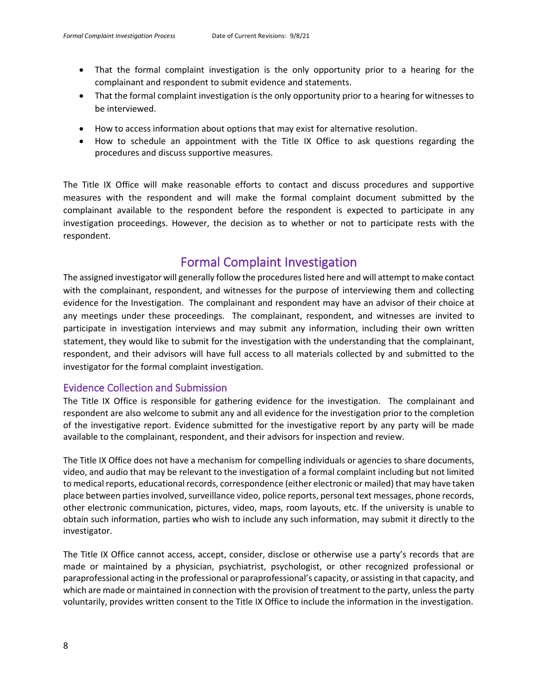- That the formal complaint investigation is the only opportunity prior to a hearing for the complainant and respondent to submit evidence and statements.
- That the formal complaint investigation is the only opportunity prior to a hearing for witnesses to be interviewed.
- How to access information about options that may exist for alternative resolution.
- How to schedule an appointment with the Title IX Office to ask questions regarding the procedures and discuss supportive measures.

The Title IX Office will make reasonable efforts to contact and discuss procedures and supportive measures with the respondent and will make the formal complaint document submitted by the complainant available to the respondent before the respondent is expected to participate in any investigation proceedings. However, the decision as to whether or not to participate rests with the respondent.

## Formal Complaint Investigation

<span id="page-8-0"></span>The assigned investigator will generally follow the procedures listed here and will attempt to make contact with the complainant, respondent, and witnesses for the purpose of interviewing them and collecting evidence for the Investigation. The complainant and respondent may have an advisor of their choice at any meetings under these proceedings. The complainant, respondent, and witnesses are invited to participate in investigation interviews and may submit any information, including their own written statement, they would like to submit for the investigation with the understanding that the complainant, respondent, and their advisors will have full access to all materials collected by and submitted to the investigator for the formal complaint investigation.

#### <span id="page-8-1"></span>Evidence Collection and Submission

The Title IX Office is responsible for gathering evidence for the investigation. The complainant and respondent are also welcome to submit any and all evidence for the investigation prior to the completion of the investigative report. Evidence submitted for the investigative report by any party will be made available to the complainant, respondent, and their advisors for inspection and review.

The Title IX Office does not have a mechanism for compelling individuals or agencies to share documents, video, and audio that may be relevant to the investigation of a formal complaint including but not limited to medical reports, educational records, correspondence (either electronic or mailed) that may have taken place between parties involved, surveillance video, police reports, personal text messages, phone records, other electronic communication, pictures, video, maps, room layouts, etc. If the university is unable to obtain such information, parties who wish to include any such information, may submit it directly to the investigator.

The Title IX Office cannot access, accept, consider, disclose or otherwise use a party's records that are made or maintained by a physician, psychiatrist, psychologist, or other recognized professional or paraprofessional acting in the professional or paraprofessional's capacity, or assisting in that capacity, and which are made or maintained in connection with the provision of treatment to the party, unless the party voluntarily, provides written consent to the Title IX Office to include the information in the investigation.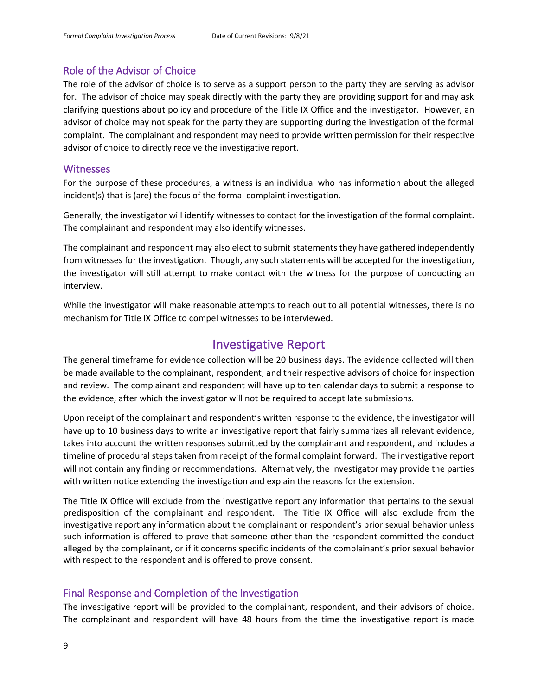#### <span id="page-9-0"></span>Role of the Advisor of Choice

The role of the advisor of choice is to serve as a support person to the party they are serving as advisor for. The advisor of choice may speak directly with the party they are providing support for and may ask clarifying questions about policy and procedure of the Title IX Office and the investigator. However, an advisor of choice may not speak for the party they are supporting during the investigation of the formal complaint. The complainant and respondent may need to provide written permission for their respective advisor of choice to directly receive the investigative report.

#### <span id="page-9-1"></span>**Witnesses**

For the purpose of these procedures, a witness is an individual who has information about the alleged incident(s) that is (are) the focus of the formal complaint investigation.

Generally, the investigator will identify witnesses to contact for the investigation of the formal complaint. The complainant and respondent may also identify witnesses.

The complainant and respondent may also elect to submit statements they have gathered independently from witnesses for the investigation. Though, any such statements will be accepted for the investigation, the investigator will still attempt to make contact with the witness for the purpose of conducting an interview.

While the investigator will make reasonable attempts to reach out to all potential witnesses, there is no mechanism for Title IX Office to compel witnesses to be interviewed.

## Investigative Report

<span id="page-9-2"></span>The general timeframe for evidence collection will be 20 business days. The evidence collected will then be made available to the complainant, respondent, and their respective advisors of choice for inspection and review. The complainant and respondent will have up to ten calendar days to submit a response to the evidence, after which the investigator will not be required to accept late submissions*.* 

Upon receipt of the complainant and respondent's written response to the evidence, the investigator will have up to 10 business days to write an investigative report that fairly summarizes all relevant evidence, takes into account the written responses submitted by the complainant and respondent, and includes a timeline of procedural steps taken from receipt of the formal complaint forward. The investigative report will not contain any finding or recommendations. Alternatively, the investigator may provide the parties with written notice extending the investigation and explain the reasons for the extension.

The Title IX Office will exclude from the investigative report any information that pertains to the sexual predisposition of the complainant and respondent. The Title IX Office will also exclude from the investigative report any information about the complainant or respondent's prior sexual behavior unless such information is offered to prove that someone other than the respondent committed the conduct alleged by the complainant, or if it concerns specific incidents of the complainant's prior sexual behavior with respect to the respondent and is offered to prove consent.

#### <span id="page-9-3"></span>Final Response and Completion of the Investigation

The investigative report will be provided to the complainant, respondent, and their advisors of choice. The complainant and respondent will have 48 hours from the time the investigative report is made